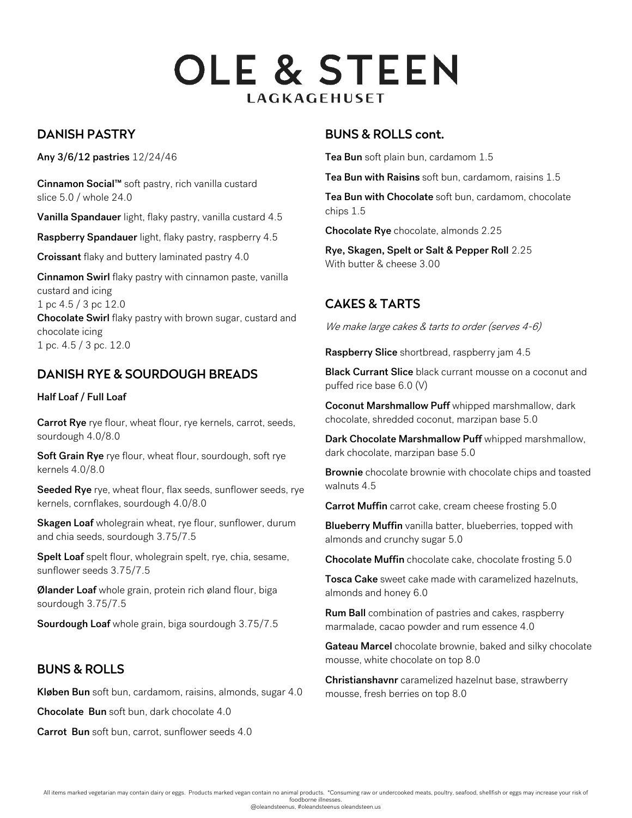# **OLE & STEEN LAGKAGEHUSET**

## DANISH PASTRY

Any 3/6/12 pastries 12/24/46

Cinnamon Social™ soft pastry, rich vanilla custard slice 5.0 / whole 24.0

Vanilla Spandauer light, flaky pastry, vanilla custard 4.5

Raspberry Spandauer light, flaky pastry, raspberry 4.5

Croissant flaky and buttery laminated pastry 4.0

Cinnamon Swirl flaky pastry with cinnamon paste, vanilla custard and icing 1 pc 4.5 / 3 pc 12.0 Chocolate Swirl flaky pastry with brown sugar, custard and chocolate icing 1 pc. 4.5 / 3 pc. 12.0

## DANISH RYE & SOURDOUGH BREADS

#### Half Loaf / Full Loaf

Carrot Rye rye flour, wheat flour, rye kernels, carrot, seeds, sourdough 4.0/8.0

Soft Grain Rye rye flour, wheat flour, sourdough, soft rye kernels 4.0/8.0

Seeded Rye rye, wheat flour, flax seeds, sunflower seeds, rye kernels, cornflakes, sourdough 4.0/8.0

Skagen Loaf wholegrain wheat, rye flour, sunflower, durum and chia seeds, sourdough 3.75/7.5

Spelt Loaf spelt flour, wholegrain spelt, rye, chia, sesame, sunflower seeds 3.75/7.5

Ølander Loaf whole grain, protein rich øland flour, biga sourdough 3.75/7.5

Sourdough Loaf whole grain, biga sourdough 3.75/7.5

## BUNS & ROLLS

Kløben Bun soft bun, cardamom, raisins, almonds, sugar 4.0

Chocolate Bun soft bun, dark chocolate 4.0

Carrot Bun soft bun, carrot, sunflower seeds 4.0

### BUNS & ROLLS cont.

Tea Bun soft plain bun, cardamom 1.5

Tea Bun with Raisins soft bun, cardamom, raisins 1.5

Tea Bun with Chocolate soft bun, cardamom, chocolate chips 1.5

Chocolate Rye chocolate, almonds 2.25

Rye, Skagen, Spelt or Salt & Pepper Roll 2.25 With butter & cheese 3.00

# CAKES & TARTS

We make large cakes & tarts to order (serves 4-6)

Raspberry Slice shortbread, raspberry jam 4.5

Black Currant Slice black currant mousse on a coconut and puffed rice base 6.0 (V)

Coconut Marshmallow Puff whipped marshmallow, dark chocolate, shredded coconut, marzipan base 5.0

Dark Chocolate Marshmallow Puff whipped marshmallow, dark chocolate, marzipan base 5.0

Brownie chocolate brownie with chocolate chips and toasted walnuts 4.5

Carrot Muffin carrot cake, cream cheese frosting 5.0

**Blueberry Muffin** vanilla batter, blueberries, topped with almonds and crunchy sugar 5.0

Chocolate Muffin chocolate cake, chocolate frosting 5.0

Tosca Cake sweet cake made with caramelized hazelnuts, almonds and honey 6.0

Rum Ball combination of pastries and cakes, raspberry marmalade, cacao powder and rum essence 4.0

Gateau Marcel chocolate brownie, baked and silky chocolate mousse, white chocolate on top 8.0

Christianshavnr caramelized hazelnut base, strawberry mousse, fresh berries on top 8.0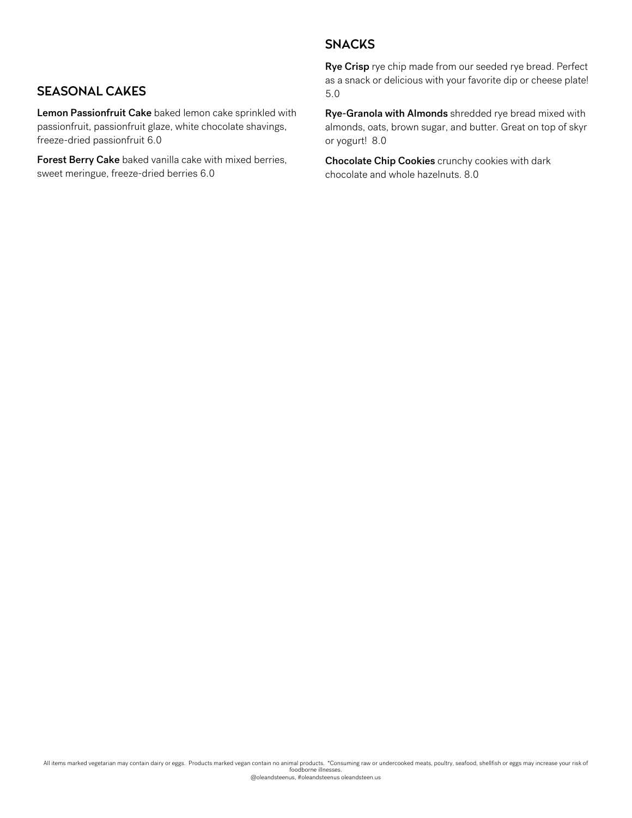#### **SNACKS**

### SEASONAL CAKES

Lemon Passionfruit Cake baked lemon cake sprinkled with passionfruit, passionfruit glaze, white chocolate shavings, freeze-dried passionfruit 6.0

Forest Berry Cake baked vanilla cake with mixed berries, sweet meringue, freeze-dried berries 6.0

Rye Crisp rye chip made from our seeded rye bread. Perfect as a snack or delicious with your favorite dip or cheese plate! 5.0

Rye-Granola with Almonds shredded rye bread mixed with almonds, oats, brown sugar, and butter. Great on top of skyr or yogurt! 8.0

Chocolate Chip Cookies crunchy cookies with dark chocolate and whole hazelnuts. 8.0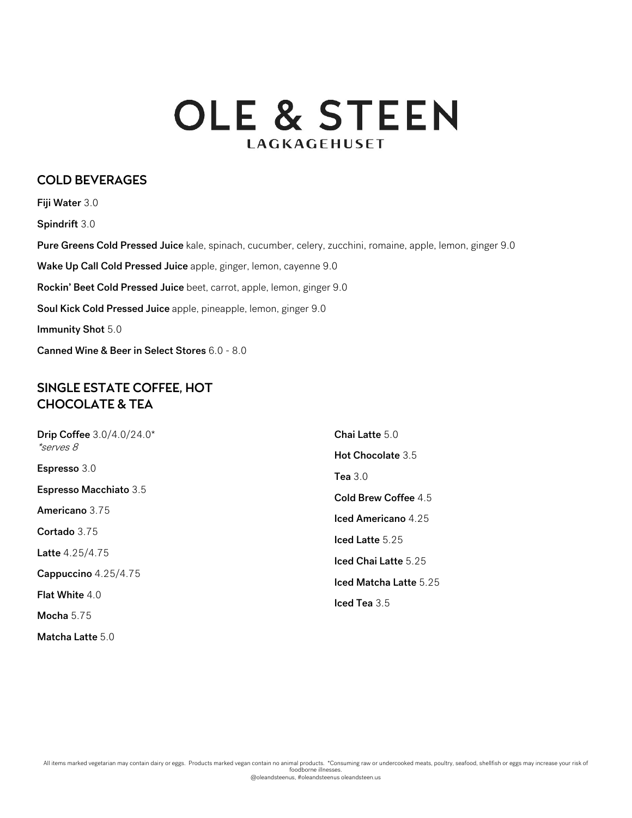# **OLE & STEEN LAGKAGEHUSET**

#### COLD BEVERAGES

Fiji Water 3.0 Spindrift 3.0 Pure Greens Cold Pressed Juice kale, spinach, cucumber, celery, zucchini, romaine, apple, lemon, ginger 9.0 Wake Up Call Cold Pressed Juice apple, ginger, lemon, cayenne 9.0 Rockin' Beet Cold Pressed Juice beet, carrot, apple, lemon, ginger 9.0 Soul Kick Cold Pressed Juice apple, pineapple, lemon, ginger 9.0 Immunity Shot 5.0 Canned Wine & Beer in Select Stores 6.0 - 8.0

#### SINGLE ESTATE COFFEE, HOT CHOCOLATE & TEA

| Drip Coffee 3.0/4.0/24.0*<br><i>*serves 8</i><br>Espresso 3.0 | Chai Latte 5.0              |
|---------------------------------------------------------------|-----------------------------|
|                                                               | Hot Chocolate 3.5           |
|                                                               | Tea $3.0$                   |
| <b>Espresso Macchiato 3.5</b>                                 | <b>Cold Brew Coffee 4.5</b> |
| Americano 3.75                                                | <b>Iced Americano</b> 4.25  |
| Cortado 3.75                                                  | $\textsf{lead}$ Latte 5.25  |
| Latte 4.25/4.75                                               | Iced Chai Latte 5.25        |
| Cappuccino 4.25/4.75                                          | Iced Matcha Latte 5.25      |
| <b>Flat White 4.0</b>                                         | Iced Tea $3.5$              |
| Mocha $5.75$                                                  |                             |
| <b>Matcha Latte</b> 5.0                                       |                             |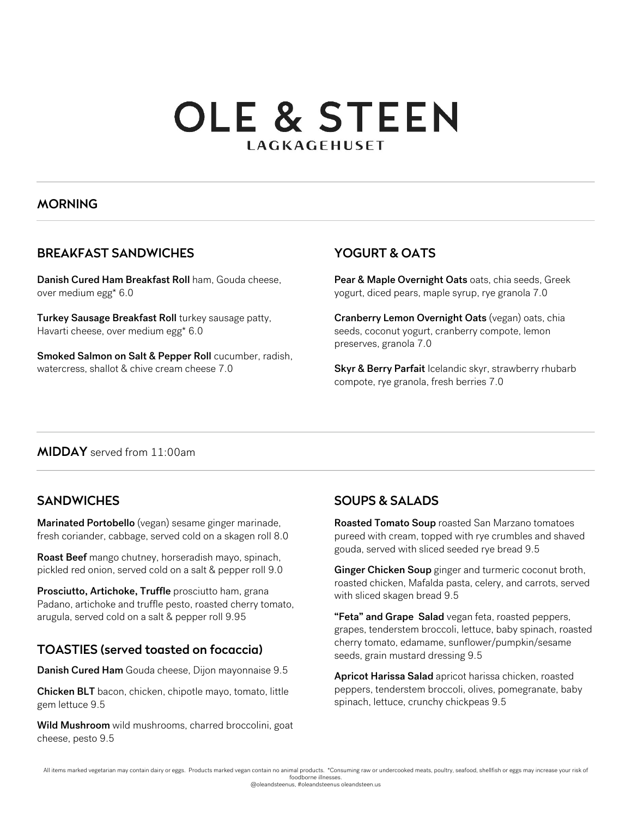# **OLE & STEEN LAGKAGEHUSET**

#### MORNING

## BREAKFAST SANDWICHES

Danish Cured Ham Breakfast Roll ham, Gouda cheese, over medium egg\* 6.0

Turkey Sausage Breakfast Roll turkey sausage patty, Havarti cheese, over medium egg\* 6.0

Smoked Salmon on Salt & Pepper Roll cucumber, radish, watercress, shallot & chive cream cheese 7.0

## YOGURT & OATS

Pear & Maple Overnight Oats oats, chia seeds, Greek yogurt, diced pears, maple syrup, rye granola 7.0

Cranberry Lemon Overnight Oats (vegan) oats, chia seeds, coconut yogurt, cranberry compote, lemon preserves, granola 7.0

Skyr & Berry Parfait Icelandic skyr, strawberry rhubarb compote, rye granola, fresh berries 7.0

#### MIDDAY served from 11:00am

## **SANDWICHES**

Marinated Portobello (vegan) sesame ginger marinade, fresh coriander, cabbage, served cold on a skagen roll 8.0

Roast Beef mango chutney, horseradish mayo, spinach, pickled red onion, served cold on a salt & pepper roll 9.0

Prosciutto, Artichoke, Truffle prosciutto ham, grana Padano, artichoke and truffle pesto, roasted cherry tomato, arugula, served cold on a salt & pepper roll 9.95

## TOASTIES (served toasted on focaccia)

Danish Cured Ham Gouda cheese, Dijon mayonnaise 9.5

Chicken BLT bacon, chicken, chipotle mayo, tomato, little gem lettuce 9.5

Wild Mushroom wild mushrooms, charred broccolini, goat cheese, pesto 9.5

## SOUPS & SALADS

Roasted Tomato Soup roasted San Marzano tomatoes pureed with cream, topped with rye crumbles and shaved gouda, served with sliced seeded rye bread 9.5

Ginger Chicken Soup ginger and turmeric coconut broth, roasted chicken, Mafalda pasta, celery, and carrots, served with sliced skagen bread 9.5

"Feta" and Grape Salad vegan feta, roasted peppers, grapes, tenderstem broccoli, lettuce, baby spinach, roasted cherry tomato, edamame, sunflower/pumpkin/sesame seeds, grain mustard dressing 9.5

Apricot Harissa Salad apricot harissa chicken, roasted peppers, tenderstem broccoli, olives, pomegranate, baby spinach, lettuce, crunchy chickpeas 9.5

All items marked vegetarian may contain dairy or eggs. Products marked vegan contain no animal products. \*Consuming raw or undercooked meats, poultry, seafood, shellfish or eggs may increase your risk of foodborne illnesses.